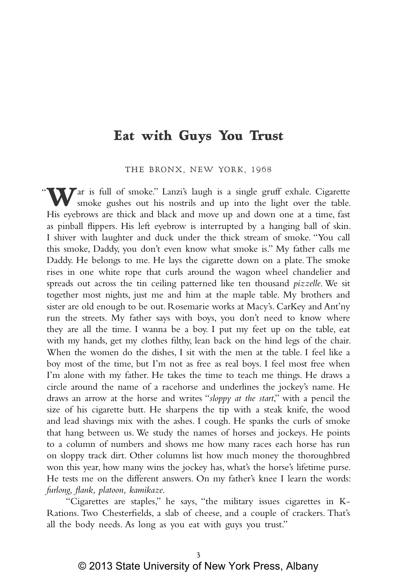## Eat with Guys You Trust

THE BRONX, NEW YORK, 1968

War is full of smoke." Lanzi's laugh is a single gruff exhale. Cigarette smoke gushes out his nostrils and up into the light over the table. His eyebrows are thick and black and move up and down one at a time, fast as pinball flippers. His left eyebrow is interrupted by a hanging ball of skin. I shiver with laughter and duck under the thick stream of smoke. "You call this smoke, Daddy, you don't even know what smoke is." My father calls me Daddy. He belongs to me. He lays the cigarette down on a plate. The smoke rises in one white rope that curls around the wagon wheel chandelier and spreads out across the tin ceiling patterned like ten thousand *pizzelle*. We sit together most nights, just me and him at the maple table. My brothers and sister are old enough to be out. Rosemarie works at Macy's. CarKey and Ant'ny run the streets. My father says with boys, you don't need to know where they are all the time. I wanna be a boy. I put my feet up on the table, eat with my hands, get my clothes filthy, lean back on the hind legs of the chair. When the women do the dishes, I sit with the men at the table. I feel like a boy most of the time, but I'm not as free as real boys. I feel most free when I'm alone with my father. He takes the time to teach me things. He draws a circle around the name of a racehorse and underlines the jockey's name. He draws an arrow at the horse and writes "*sloppy at the start*," with a pencil the size of his cigarette butt. He sharpens the tip with a steak knife, the wood and lead shavings mix with the ashes. I cough. He spanks the curls of smoke that hang between us. We study the names of horses and jockeys. He points to a column of numbers and shows me how many races each horse has run on sloppy track dirt. Other columns list how much money the thoroughbred won this year, how many wins the jockey has, what's the horse's lifetime purse. He tests me on the different answers. On my father's knee I learn the words: *furlong, flank, platoon, kamikaze*. "

"Cigarettes are staples," he says, "the military issues cigarettes in K-Rations. Two Chesterfields, a slab of cheese, and a couple of crackers. That's all the body needs. As long as you eat with guys you trust."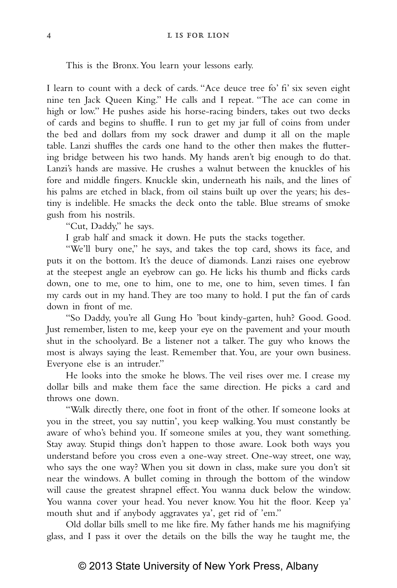This is the Bronx. You learn your lessons early.

I learn to count with a deck of cards. "Ace deuce tree fo' fi' six seven eight nine ten Jack Queen King." He calls and I repeat. "The ace can come in high or low." He pushes aside his horse-racing binders, takes out two decks of cards and begins to shuffle. I run to get my jar full of coins from under the bed and dollars from my sock drawer and dump it all on the maple table. Lanzi shuffles the cards one hand to the other then makes the fluttering bridge between his two hands. My hands aren't big enough to do that. Lanzi's hands are massive. He crushes a walnut between the knuckles of his fore and middle fingers. Knuckle skin, underneath his nails, and the lines of his palms are etched in black, from oil stains built up over the years; his destiny is indelible. He smacks the deck onto the table. Blue streams of smoke gush from his nostrils.

"Cut, Daddy," he says.

I grab half and smack it down. He puts the stacks together.

"We'll bury one," he says, and takes the top card, shows its face, and puts it on the bottom. It's the deuce of diamonds. Lanzi raises one eyebrow at the steepest angle an eyebrow can go. He licks his thumb and flicks cards down, one to me, one to him, one to me, one to him, seven times. I fan my cards out in my hand. They are too many to hold. I put the fan of cards down in front of me.

"So Daddy, you're all Gung Ho 'bout kindy-garten, huh? Good. Good. Just remember, listen to me, keep your eye on the pavement and your mouth shut in the schoolyard. Be a listener not a talker. The guy who knows the most is always saying the least. Remember that. You, are your own business. Everyone else is an intruder."

He looks into the smoke he blows. The veil rises over me. I crease my dollar bills and make them face the same direction. He picks a card and throws one down.

"Walk directly there, one foot in front of the other. If someone looks at you in the street, you say nuttin', you keep walking. You must constantly be aware of who's behind you. If someone smiles at you, they want something. Stay away. Stupid things don't happen to those aware. Look both ways you understand before you cross even a one-way street. One-way street, one way, who says the one way? When you sit down in class, make sure you don't sit near the windows. A bullet coming in through the bottom of the window will cause the greatest shrapnel effect. You wanna duck below the window. You wanna cover your head. You never know. You hit the floor. Keep ya' mouth shut and if anybody aggravates ya', get rid of 'em."

Old dollar bills smell to me like fire. My father hands me his magnifying glass, and I pass it over the details on the bills the way he taught me, the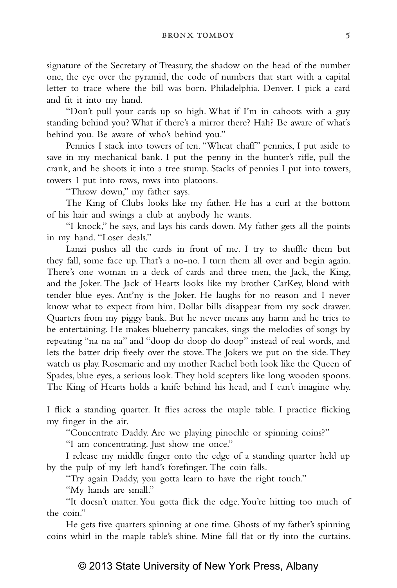signature of the Secretary of Treasury, the shadow on the head of the number one, the eye over the pyramid, the code of numbers that start with a capital letter to trace where the bill was born. Philadelphia. Denver. I pick a card and fit it into my hand.

"Don't pull your cards up so high. What if I'm in cahoots with a guy standing behind you? What if there's a mirror there? Hah? Be aware of what's behind you. Be aware of who's behind you."

Pennies I stack into towers of ten. "Wheat chaff" pennies, I put aside to save in my mechanical bank. I put the penny in the hunter's rifle, pull the crank, and he shoots it into a tree stump. Stacks of pennies I put into towers, towers I put into rows, rows into platoons.

"Throw down," my father says.

The King of Clubs looks like my father. He has a curl at the bottom of his hair and swings a club at anybody he wants.

"I knock," he says, and lays his cards down. My father gets all the points in my hand. "Loser deals."

Lanzi pushes all the cards in front of me. I try to shuffle them but they fall, some face up. That's a no-no. I turn them all over and begin again. There's one woman in a deck of cards and three men, the Jack, the King, and the Joker. The Jack of Hearts looks like my brother CarKey, blond with tender blue eyes. Ant'ny is the Joker. He laughs for no reason and I never know what to expect from him. Dollar bills disappear from my sock drawer. Quarters from my piggy bank. But he never means any harm and he tries to be entertaining. He makes blueberry pancakes, sings the melodies of songs by repeating "na na na" and "doop do doop do doop" instead of real words, and lets the batter drip freely over the stove. The Jokers we put on the side. They watch us play. Rosemarie and my mother Rachel both look like the Queen of Spades, blue eyes, a serious look. They hold scepters like long wooden spoons. The King of Hearts holds a knife behind his head, and I can't imagine why.

I flick a standing quarter. It flies across the maple table. I practice flicking my finger in the air.

"Concentrate Daddy. Are we playing pinochle or spinning coins?"

"I am concentrating. Just show me once."

I release my middle finger onto the edge of a standing quarter held up by the pulp of my left hand's forefinger. The coin falls.

"Try again Daddy, you gotta learn to have the right touch."

"My hands are small."

"It doesn't matter. You gotta flick the edge. You're hitting too much of the coin."

He gets five quarters spinning at one time. Ghosts of my father's spinning coins whirl in the maple table's shine. Mine fall flat or fly into the curtains.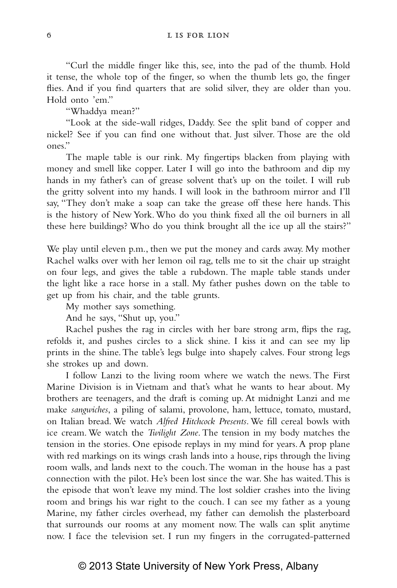"Curl the middle finger like this, see, into the pad of the thumb. Hold it tense, the whole top of the finger, so when the thumb lets go, the finger flies. And if you find quarters that are solid silver, they are older than you. Hold onto 'em."

"Whaddya mean?"

"Look at the side-wall ridges, Daddy. See the split band of copper and nickel? See if you can find one without that. Just silver. Those are the old ones."

The maple table is our rink. My fingertips blacken from playing with money and smell like copper. Later I will go into the bathroom and dip my hands in my father's can of grease solvent that's up on the toilet. I will rub the gritty solvent into my hands. I will look in the bathroom mirror and I'll say, "They don't make a soap can take the grease off these here hands. This is the history of New York. Who do you think fixed all the oil burners in all these here buildings? Who do you think brought all the ice up all the stairs?"

We play until eleven p.m., then we put the money and cards away. My mother Rachel walks over with her lemon oil rag, tells me to sit the chair up straight on four legs, and gives the table a rubdown. The maple table stands under the light like a race horse in a stall. My father pushes down on the table to get up from his chair, and the table grunts.

My mother says something.

And he says, "Shut up, you."

Rachel pushes the rag in circles with her bare strong arm, flips the rag, refolds it, and pushes circles to a slick shine. I kiss it and can see my lip prints in the shine. The table's legs bulge into shapely calves. Four strong legs she strokes up and down.

I follow Lanzi to the living room where we watch the news. The First Marine Division is in Vietnam and that's what he wants to hear about. My brothers are teenagers, and the draft is coming up. At midnight Lanzi and me make *sangwiches*, a piling of salami, provolone, ham, lettuce, tomato, mustard, on Italian bread. We watch *Alfred Hitchcock Presents*. We fill cereal bowls with ice cream. We watch the *Twilight Zone*. The tension in my body matches the tension in the stories. One episode replays in my mind for years. A prop plane with red markings on its wings crash lands into a house, rips through the living room walls, and lands next to the couch. The woman in the house has a past connection with the pilot. He's been lost since the war. She has waited. This is the episode that won't leave my mind. The lost soldier crashes into the living room and brings his war right to the couch. I can see my father as a young Marine, my father circles overhead, my father can demolish the plasterboard that surrounds our rooms at any moment now. The walls can split anytime now. I face the television set. I run my fingers in the corrugated-patterned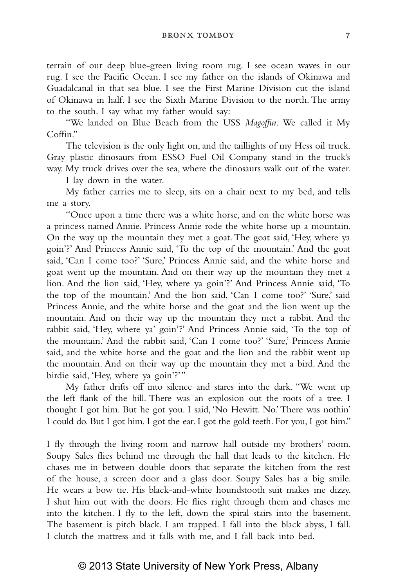terrain of our deep blue-green living room rug. I see ocean waves in our rug. I see the Pacific Ocean. I see my father on the islands of Okinawa and Guadalcanal in that sea blue. I see the First Marine Division cut the island of Okinawa in half. I see the Sixth Marine Division to the north. The army to the south. I say what my father would say:

"We landed on Blue Beach from the USS *Magoffin.* We called it My Coffin."

The television is the only light on, and the taillights of my Hess oil truck. Gray plastic dinosaurs from ESSO Fuel Oil Company stand in the truck's way. My truck drives over the sea, where the dinosaurs walk out of the water.

I lay down in the water.

My father carries me to sleep, sits on a chair next to my bed, and tells me a story.

"Once upon a time there was a white horse, and on the white horse was a princess named Annie. Princess Annie rode the white horse up a mountain. On the way up the mountain they met a goat. The goat said, 'Hey, where ya goin'?' And Princess Annie said, 'To the top of the mountain.' And the goat said, 'Can I come too?' 'Sure,' Princess Annie said, and the white horse and goat went up the mountain. And on their way up the mountain they met a lion. And the lion said, 'Hey, where ya goin'?' And Princess Annie said, 'To the top of the mountain.' And the lion said, 'Can I come too?' 'Sure,' said Princess Annie, and the white horse and the goat and the lion went up the mountain. And on their way up the mountain they met a rabbit. And the rabbit said, 'Hey, where ya' goin'?' And Princess Annie said, 'To the top of the mountain.' And the rabbit said, 'Can I come too?' 'Sure,' Princess Annie said, and the white horse and the goat and the lion and the rabbit went up the mountain. And on their way up the mountain they met a bird. And the birdie said, 'Hey, where ya goin'?'"

My father drifts off into silence and stares into the dark. "We went up the left flank of the hill. There was an explosion out the roots of a tree. I thought I got him. But he got you. I said, 'No Hewitt. No.' There was nothin' I could do. But I got him. I got the ear. I got the gold teeth. For you, I got him."

I fly through the living room and narrow hall outside my brothers' room. Soupy Sales flies behind me through the hall that leads to the kitchen. He chases me in between double doors that separate the kitchen from the rest of the house, a screen door and a glass door. Soupy Sales has a big smile. He wears a bow tie. His black-and-white houndstooth suit makes me dizzy. I shut him out with the doors. He flies right through them and chases me into the kitchen. I fly to the left, down the spiral stairs into the basement. The basement is pitch black. I am trapped. I fall into the black abyss, I fall. I clutch the mattress and it falls with me, and I fall back into bed.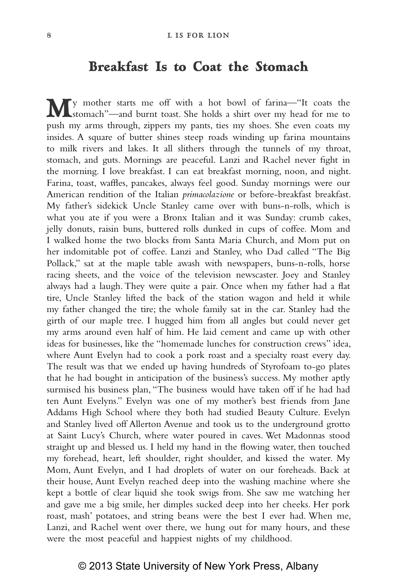### Breakfast Is to Coat the Stomach

My mother starts me off with a hot bowl of farina—"It coats the stomach"—and burnt toast. She holds a shirt over my head for me to push my arms through, zippers my pants, ties my shoes. She even coats my insides. A square of butter shines steep roads winding up farina mountains to milk rivers and lakes. It all slithers through the tunnels of my throat, stomach, and guts. Mornings are peaceful. Lanzi and Rachel never fight in the morning. I love breakfast. I can eat breakfast morning, noon, and night. Farina, toast, waffles, pancakes, always feel good. Sunday mornings were our American rendition of the Italian *primacolazione* or before-breakfast breakfast. My father's sidekick Uncle Stanley came over with buns-n-rolls, which is what you ate if you were a Bronx Italian and it was Sunday: crumb cakes, jelly donuts, raisin buns, buttered rolls dunked in cups of coffee. Mom and I walked home the two blocks from Santa Maria Church, and Mom put on her indomitable pot of coffee. Lanzi and Stanley, who Dad called "The Big Pollack," sat at the maple table awash with newspapers, buns-n-rolls, horse racing sheets, and the voice of the television newscaster. Joey and Stanley always had a laugh. They were quite a pair. Once when my father had a flat tire, Uncle Stanley lifted the back of the station wagon and held it while my father changed the tire; the whole family sat in the car. Stanley had the girth of our maple tree. I hugged him from all angles but could never get my arms around even half of him. He laid cement and came up with other ideas for businesses, like the "homemade lunches for construction crews" idea, where Aunt Evelyn had to cook a pork roast and a specialty roast every day. The result was that we ended up having hundreds of Styrofoam to-go plates that he had bought in anticipation of the business's success. My mother aptly surmised his business plan, "The business would have taken off if he had had ten Aunt Evelyns." Evelyn was one of my mother's best friends from Jane Addams High School where they both had studied Beauty Culture. Evelyn and Stanley lived off Allerton Avenue and took us to the underground grotto at Saint Lucy's Church, where water poured in caves. Wet Madonnas stood straight up and blessed us. I held my hand in the flowing water, then touched my forehead, heart, left shoulder, right shoulder, and kissed the water. My Mom, Aunt Evelyn, and I had droplets of water on our foreheads. Back at their house, Aunt Evelyn reached deep into the washing machine where she kept a bottle of clear liquid she took swigs from. She saw me watching her and gave me a big smile, her dimples sucked deep into her cheeks. Her pork roast, mash' potatoes, and string beans were the best I ever had. When me, Lanzi, and Rachel went over there, we hung out for many hours, and these were the most peaceful and happiest nights of my childhood.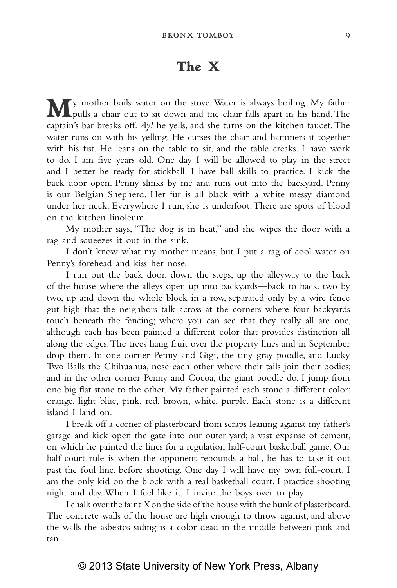# The X

My mother boils water on the stove. Water is always boiling. My father pulls a chair out to sit down and the chair falls apart in his hand. The captain's bar breaks off. *Ay!* he yells, and she turns on the kitchen faucet. The water runs on with his yelling. He curses the chair and hammers it together with his fist. He leans on the table to sit, and the table creaks. I have work to do. I am five years old. One day I will be allowed to play in the street and I better be ready for stickball. I have ball skills to practice. I kick the back door open. Penny slinks by me and runs out into the backyard. Penny is our Belgian Shepherd. Her fur is all black with a white messy diamond under her neck. Everywhere I run, she is underfoot. There are spots of blood on the kitchen linoleum.

My mother says, "The dog is in heat," and she wipes the floor with a rag and squeezes it out in the sink.

I don't know what my mother means, but I put a rag of cool water on Penny's forehead and kiss her nose.

I run out the back door, down the steps, up the alleyway to the back of the house where the alleys open up into backyards—back to back, two by two, up and down the whole block in a row, separated only by a wire fence gut-high that the neighbors talk across at the corners where four backyards touch beneath the fencing; where you can see that they really all are one, although each has been painted a different color that provides distinction all along the edges. The trees hang fruit over the property lines and in September drop them. In one corner Penny and Gigi, the tiny gray poodle, and Lucky Two Balls the Chihuahua, nose each other where their tails join their bodies; and in the other corner Penny and Cocoa, the giant poodle do. I jump from one big flat stone to the other. My father painted each stone a different color: orange, light blue, pink, red, brown, white, purple. Each stone is a different island I land on.

I break off a corner of plasterboard from scraps leaning against my father's garage and kick open the gate into our outer yard; a vast expanse of cement, on which he painted the lines for a regulation half-court basketball game. Our half-court rule is when the opponent rebounds a ball, he has to take it out past the foul line, before shooting. One day I will have my own full-court. I am the only kid on the block with a real basketball court. I practice shooting night and day. When I feel like it, I invite the boys over to play.

I chalk over the faint *X* on the side of the house with the hunk of plasterboard. The concrete walls of the house are high enough to throw against, and above the walls the asbestos siding is a color dead in the middle between pink and tan.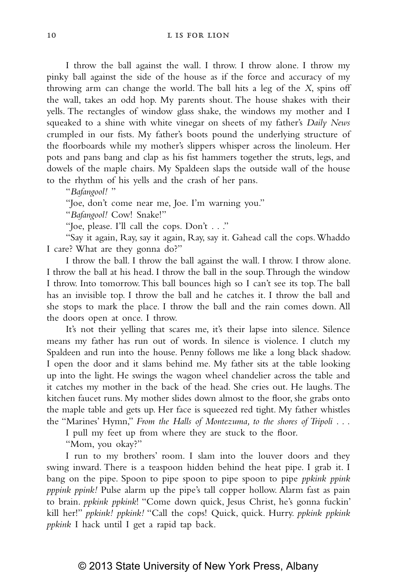I throw the ball against the wall. I throw. I throw alone. I throw my pinky ball against the side of the house as if the force and accuracy of my throwing arm can change the world. The ball hits a leg of the *X*, spins off the wall, takes an odd hop. My parents shout. The house shakes with their yells. The rectangles of window glass shake, the windows my mother and I squeaked to a shine with white vinegar on sheets of my father's *Daily News* crumpled in our fists. My father's boots pound the underlying structure of the floorboards while my mother's slippers whisper across the linoleum. Her pots and pans bang and clap as his fist hammers together the struts, legs, and dowels of the maple chairs. My Spaldeen slaps the outside wall of the house to the rhythm of his yells and the crash of her pans.

"*Bafangool!* "

"Joe, don't come near me, Joe. I'm warning you."

"*Bafangool!* Cow! Snake!"

"Joe, please. I'll call the cops. Don't . . ."

"Say it again, Ray, say it again, Ray, say it. Gahead call the cops. Whaddo I care? What are they gonna do?"

I throw the ball. I throw the ball against the wall. I throw. I throw alone. I throw the ball at his head. I throw the ball in the soup. Through the window I throw. Into tomorrow. This ball bounces high so I can't see its top. The ball has an invisible top. I throw the ball and he catches it. I throw the ball and she stops to mark the place. I throw the ball and the rain comes down. All the doors open at once. I throw.

It's not their yelling that scares me, it's their lapse into silence. Silence means my father has run out of words. In silence is violence. I clutch my Spaldeen and run into the house. Penny follows me like a long black shadow. I open the door and it slams behind me. My father sits at the table looking up into the light. He swings the wagon wheel chandelier across the table and it catches my mother in the back of the head. She cries out. He laughs. The kitchen faucet runs. My mother slides down almost to the floor, she grabs onto the maple table and gets up. Her face is squeezed red tight. My father whistles the "Marines' Hymn," *From the Halls of Montezuma, to the shores of Tripoli* . . .

I pull my feet up from where they are stuck to the floor.

"Mom, you okay?"

I run to my brothers' room. I slam into the louver doors and they swing inward. There is a teaspoon hidden behind the heat pipe. I grab it. I bang on the pipe. Spoon to pipe spoon to pipe spoon to pipe *ppkink ppink pppink ppink!* Pulse alarm up the pipe's tall copper hollow. Alarm fast as pain to brain. *ppkink ppkink*! "Come down quick, Jesus Christ, he's gonna fuckin' kill her!" *ppkink! ppkink!* "Call the cops! Quick, quick. Hurry. *ppkink ppkink ppkink* I hack until I get a rapid tap back.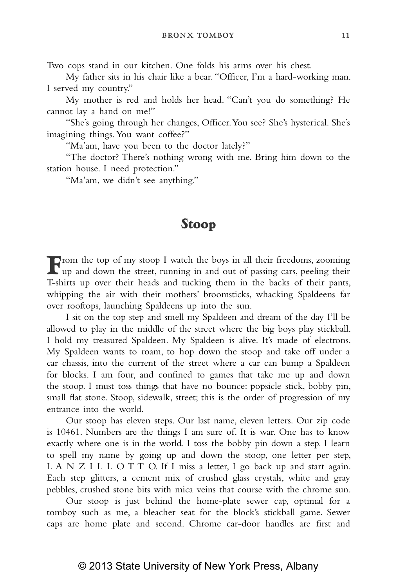Two cops stand in our kitchen. One folds his arms over his chest.

My father sits in his chair like a bear. "Officer, I'm a hard-working man. I served my country."

My mother is red and holds her head. "Can't you do something? He cannot lay a hand on me!"

"She's going through her changes, Officer. You see? She's hysterical. She's imagining things. You want coffee?"

"Ma'am, have you been to the doctor lately?"

"The doctor? There's nothing wrong with me. Bring him down to the station house. I need protection."

"Ma'am, we didn't see anything."

### Stoop

From the top of my stoop I watch the boys in all their freedoms, zooming up and down the street, running in and out of passing cars, peeling their T-shirts up over their heads and tucking them in the backs of their pants, whipping the air with their mothers' broomsticks, whacking Spaldeens far over rooftops, launching Spaldeens up into the sun.

I sit on the top step and smell my Spaldeen and dream of the day I'll be allowed to play in the middle of the street where the big boys play stickball. I hold my treasured Spaldeen. My Spaldeen is alive. It's made of electrons. My Spaldeen wants to roam, to hop down the stoop and take off under a car chassis, into the current of the street where a car can bump a Spaldeen for blocks. I am four, and confined to games that take me up and down the stoop. I must toss things that have no bounce: popsicle stick, bobby pin, small flat stone. Stoop, sidewalk, street; this is the order of progression of my entrance into the world.

Our stoop has eleven steps. Our last name, eleven letters. Our zip code is 10461. Numbers are the things I am sure of. It is war. One has to know exactly where one is in the world. I toss the bobby pin down a step. I learn to spell my name by going up and down the stoop, one letter per step, L A N Z I L L O T T O. If I miss a letter, I go back up and start again. Each step glitters, a cement mix of crushed glass crystals, white and gray pebbles, crushed stone bits with mica veins that course with the chrome sun.

Our stoop is just behind the home-plate sewer cap, optimal for a tomboy such as me, a bleacher seat for the block's stickball game. Sewer caps are home plate and second. Chrome car-door handles are first and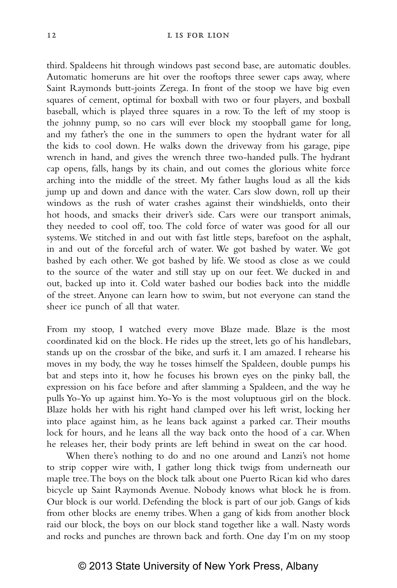third. Spaldeens hit through windows past second base, are automatic doubles. Automatic homeruns are hit over the rooftops three sewer caps away, where Saint Raymonds butt-joints Zerega. In front of the stoop we have big even squares of cement, optimal for boxball with two or four players, and boxball baseball, which is played three squares in a row. To the left of my stoop is the johnny pump, so no cars will ever block my stoopball game for long, and my father's the one in the summers to open the hydrant water for all the kids to cool down. He walks down the driveway from his garage, pipe wrench in hand, and gives the wrench three two-handed pulls. The hydrant cap opens, falls, hangs by its chain, and out comes the glorious white force arching into the middle of the street. My father laughs loud as all the kids jump up and down and dance with the water. Cars slow down, roll up their windows as the rush of water crashes against their windshields, onto their hot hoods, and smacks their driver's side. Cars were our transport animals, they needed to cool off, too. The cold force of water was good for all our systems. We stitched in and out with fast little steps, barefoot on the asphalt, in and out of the forceful arch of water. We got bashed by water. We got bashed by each other. We got bashed by life. We stood as close as we could to the source of the water and still stay up on our feet. We ducked in and out, backed up into it. Cold water bashed our bodies back into the middle of the street. Anyone can learn how to swim, but not everyone can stand the sheer ice punch of all that water.

From my stoop, I watched every move Blaze made. Blaze is the most coordinated kid on the block. He rides up the street, lets go of his handlebars, stands up on the crossbar of the bike, and surfs it. I am amazed. I rehearse his moves in my body, the way he tosses himself the Spaldeen, double pumps his bat and steps into it, how he focuses his brown eyes on the pinky ball, the expression on his face before and after slamming a Spaldeen, and the way he pulls Yo-Yo up against him. Yo-Yo is the most voluptuous girl on the block. Blaze holds her with his right hand clamped over his left wrist, locking her into place against him, as he leans back against a parked car. Their mouths lock for hours, and he leans all the way back onto the hood of a car. When he releases her, their body prints are left behind in sweat on the car hood.

When there's nothing to do and no one around and Lanzi's not home to strip copper wire with, I gather long thick twigs from underneath our maple tree. The boys on the block talk about one Puerto Rican kid who dares bicycle up Saint Raymonds Avenue. Nobody knows what block he is from. Our block is our world. Defending the block is part of our job. Gangs of kids from other blocks are enemy tribes. When a gang of kids from another block raid our block, the boys on our block stand together like a wall. Nasty words and rocks and punches are thrown back and forth. One day I'm on my stoop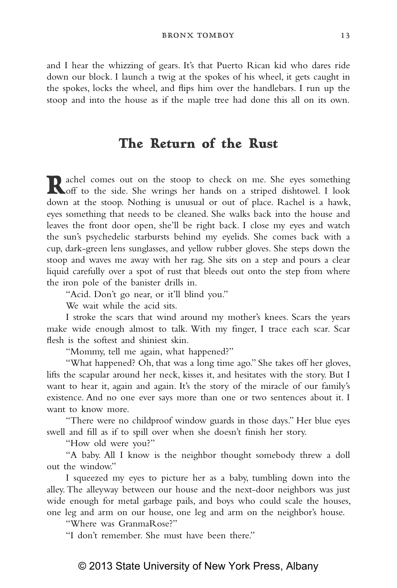and I hear the whizzing of gears. It's that Puerto Rican kid who dares ride down our block. I launch a twig at the spokes of his wheel, it gets caught in the spokes, locks the wheel, and flips him over the handlebars. I run up the stoop and into the house as if the maple tree had done this all on its own.

## The Return of the Rust

Rachel comes out on the stoop to check on me. She eyes something off to the side. She wrings her hands on a striped dishtowel. I look down at the stoop. Nothing is unusual or out of place. Rachel is a hawk, eyes something that needs to be cleaned. She walks back into the house and leaves the front door open, she'll be right back. I close my eyes and watch the sun's psychedelic starbursts behind my eyelids. She comes back with a cup, dark-green lens sunglasses, and yellow rubber gloves. She steps down the stoop and waves me away with her rag. She sits on a step and pours a clear liquid carefully over a spot of rust that bleeds out onto the step from where the iron pole of the banister drills in.

"Acid. Don't go near, or it'll blind you."

We wait while the acid sits.

I stroke the scars that wind around my mother's knees. Scars the years make wide enough almost to talk. With my finger, I trace each scar. Scar flesh is the softest and shiniest skin.

"Mommy, tell me again, what happened?"

"What happened? Oh, that was a long time ago." She takes off her gloves, lifts the scapular around her neck, kisses it, and hesitates with the story. But I want to hear it, again and again. It's the story of the miracle of our family's existence. And no one ever says more than one or two sentences about it. I want to know more.

"There were no childproof window guards in those days." Her blue eyes swell and fill as if to spill over when she doesn't finish her story.

"How old were you?"

"A baby. All I know is the neighbor thought somebody threw a doll out the window."

I squeezed my eyes to picture her as a baby, tumbling down into the alley. The alleyway between our house and the next-door neighbors was just wide enough for metal garbage pails, and boys who could scale the houses, one leg and arm on our house, one leg and arm on the neighbor's house.

"Where was GranmaRose?"

"I don't remember. She must have been there."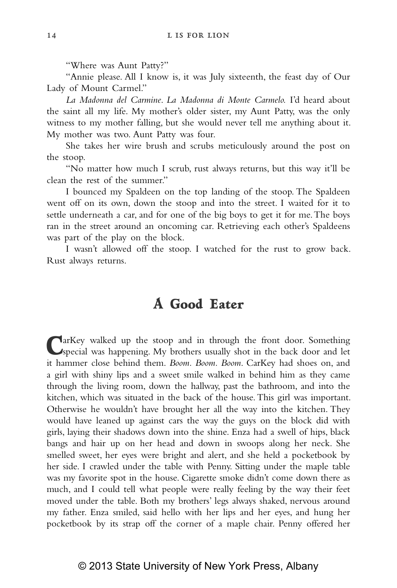"Where was Aunt Patty?"

"Annie please. All I know is, it was July sixteenth, the feast day of Our Lady of Mount Carmel."

*La Madonna del Carmine*. *La Madonna di Monte Carmelo.* I'd heard about the saint all my life. My mother's older sister, my Aunt Patty, was the only witness to my mother falling, but she would never tell me anything about it. My mother was two. Aunt Patty was four.

She takes her wire brush and scrubs meticulously around the post on the stoop.

"No matter how much I scrub, rust always returns, but this way it'll be clean the rest of the summer."

I bounced my Spaldeen on the top landing of the stoop. The Spaldeen went off on its own, down the stoop and into the street. I waited for it to settle underneath a car, and for one of the big boys to get it for me. The boys ran in the street around an oncoming car. Retrieving each other's Spaldeens was part of the play on the block.

I wasn't allowed off the stoop. I watched for the rust to grow back. Rust always returns.

## A Good Eater

**CarKey** walked up the stoop and in through the front door. Something special was happening. My brothers usually shot in the back door and let it hammer close behind them. *Boom. Boom. Boom*. CarKey had shoes on, and a girl with shiny lips and a sweet smile walked in behind him as they came through the living room, down the hallway, past the bathroom, and into the kitchen, which was situated in the back of the house. This girl was important. Otherwise he wouldn't have brought her all the way into the kitchen. They would have leaned up against cars the way the guys on the block did with girls, laying their shadows down into the shine. Enza had a swell of hips, black bangs and hair up on her head and down in swoops along her neck. She smelled sweet, her eyes were bright and alert, and she held a pocketbook by her side. I crawled under the table with Penny. Sitting under the maple table was my favorite spot in the house. Cigarette smoke didn't come down there as much, and I could tell what people were really feeling by the way their feet moved under the table. Both my brothers' legs always shaked, nervous around my father. Enza smiled, said hello with her lips and her eyes, and hung her pocketbook by its strap off the corner of a maple chair. Penny offered her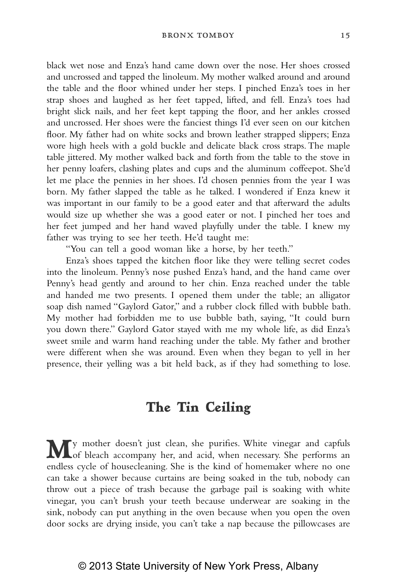black wet nose and Enza's hand came down over the nose. Her shoes crossed and uncrossed and tapped the linoleum. My mother walked around and around the table and the floor whined under her steps. I pinched Enza's toes in her strap shoes and laughed as her feet tapped, lifted, and fell. Enza's toes had bright slick nails, and her feet kept tapping the floor, and her ankles crossed and uncrossed. Her shoes were the fanciest things I'd ever seen on our kitchen floor. My father had on white socks and brown leather strapped slippers; Enza wore high heels with a gold buckle and delicate black cross straps. The maple table jittered. My mother walked back and forth from the table to the stove in her penny loafers, clashing plates and cups and the aluminum coffeepot. She'd let me place the pennies in her shoes. I'd chosen pennies from the year I was born. My father slapped the table as he talked. I wondered if Enza knew it was important in our family to be a good eater and that afterward the adults would size up whether she was a good eater or not. I pinched her toes and her feet jumped and her hand waved playfully under the table. I knew my father was trying to see her teeth. He'd taught me:

"You can tell a good woman like a horse, by her teeth."

Enza's shoes tapped the kitchen floor like they were telling secret codes into the linoleum. Penny's nose pushed Enza's hand, and the hand came over Penny's head gently and around to her chin. Enza reached under the table and handed me two presents. I opened them under the table; an alligator soap dish named "Gaylord Gator," and a rubber clock filled with bubble bath. My mother had forbidden me to use bubble bath, saying, "It could burn you down there." Gaylord Gator stayed with me my whole life, as did Enza's sweet smile and warm hand reaching under the table. My father and brother were different when she was around. Even when they began to yell in her presence, their yelling was a bit held back, as if they had something to lose.

## The Tin Ceiling

Wy mother doesn't just clean, she purifies. White vinegar and capfuls of bleach accompany her, and acid, when necessary. She performs an endless cycle of housecleaning. She is the kind of homemaker where no one can take a shower because curtains are being soaked in the tub, nobody can throw out a piece of trash because the garbage pail is soaking with white vinegar, you can't brush your teeth because underwear are soaking in the sink, nobody can put anything in the oven because when you open the oven door socks are drying inside, you can't take a nap because the pillowcases are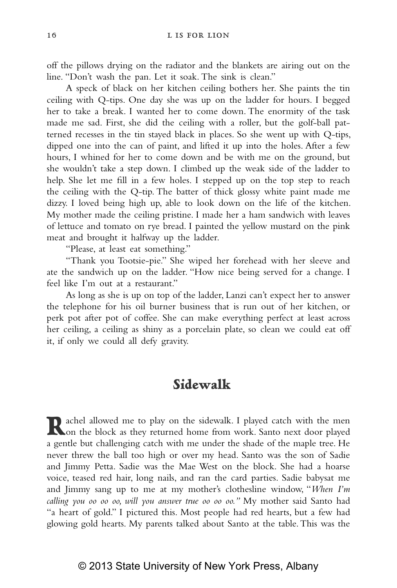off the pillows drying on the radiator and the blankets are airing out on the line. "Don't wash the pan. Let it soak. The sink is clean."

A speck of black on her kitchen ceiling bothers her. She paints the tin ceiling with Q-tips. One day she was up on the ladder for hours. I begged her to take a break. I wanted her to come down. The enormity of the task made me sad. First, she did the ceiling with a roller, but the golf-ball patterned recesses in the tin stayed black in places. So she went up with Q-tips, dipped one into the can of paint, and lifted it up into the holes. After a few hours, I whined for her to come down and be with me on the ground, but she wouldn't take a step down. I climbed up the weak side of the ladder to help. She let me fill in a few holes. I stepped up on the top step to reach the ceiling with the Q-tip. The batter of thick glossy white paint made me dizzy. I loved being high up, able to look down on the life of the kitchen. My mother made the ceiling pristine. I made her a ham sandwich with leaves of lettuce and tomato on rye bread. I painted the yellow mustard on the pink meat and brought it halfway up the ladder.

"Please, at least eat something."

"Thank you Tootsie-pie." She wiped her forehead with her sleeve and ate the sandwich up on the ladder. "How nice being served for a change. I feel like I'm out at a restaurant."

As long as she is up on top of the ladder, Lanzi can't expect her to answer the telephone for his oil burner business that is run out of her kitchen, or perk pot after pot of coffee. She can make everything perfect at least across her ceiling, a ceiling as shiny as a porcelain plate, so clean we could eat off it, if only we could all defy gravity.

### Sidewalk

**Rachel allowed me to play on the sidewalk. I played catch with the men Non the block as they returned home from work. Santo next door played** a gentle but challenging catch with me under the shade of the maple tree. He never threw the ball too high or over my head. Santo was the son of Sadie and Jimmy Petta. Sadie was the Mae West on the block. She had a hoarse voice, teased red hair, long nails, and ran the card parties. Sadie babysat me and Jimmy sang up to me at my mother's clothesline window, "*When I'm calling you oo oo oo, will you answer true oo oo oo."* My mother said Santo had "a heart of gold." I pictured this. Most people had red hearts, but a few had glowing gold hearts. My parents talked about Santo at the table. This was the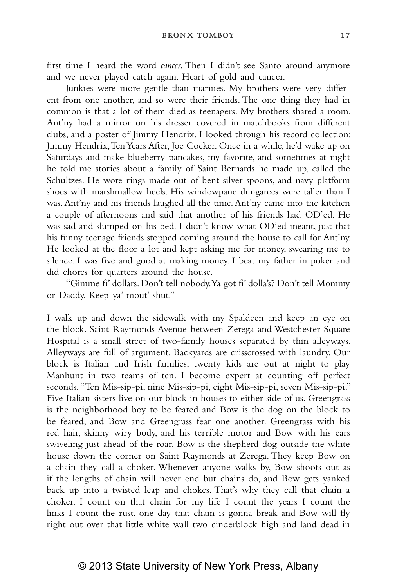first time I heard the word *cancer*. Then I didn't see Santo around anymore and we never played catch again. Heart of gold and cancer.

Junkies were more gentle than marines. My brothers were very different from one another, and so were their friends. The one thing they had in common is that a lot of them died as teenagers. My brothers shared a room. Ant'ny had a mirror on his dresser covered in matchbooks from different clubs, and a poster of Jimmy Hendrix. I looked through his record collection: Jimmy Hendrix, Ten Years After, Joe Cocker. Once in a while, he'd wake up on Saturdays and make blueberry pancakes, my favorite, and sometimes at night he told me stories about a family of Saint Bernards he made up, called the Schultzes. He wore rings made out of bent silver spoons, and navy platform shoes with marshmallow heels. His windowpane dungarees were taller than I was. Ant'ny and his friends laughed all the time. Ant'ny came into the kitchen a couple of afternoons and said that another of his friends had OD'ed. He was sad and slumped on his bed. I didn't know what OD'ed meant, just that his funny teenage friends stopped coming around the house to call for Ant'ny. He looked at the floor a lot and kept asking me for money, swearing me to silence. I was five and good at making money. I beat my father in poker and did chores for quarters around the house.

"Gimme fi' dollars. Don't tell nobody. Ya got fi' dolla's? Don't tell Mommy or Daddy. Keep ya' mout' shut."

I walk up and down the sidewalk with my Spaldeen and keep an eye on the block. Saint Raymonds Avenue between Zerega and Westchester Square Hospital is a small street of two-family houses separated by thin alleyways. Alleyways are full of argument. Backyards are crisscrossed with laundry. Our block is Italian and Irish families, twenty kids are out at night to play Manhunt in two teams of ten. I become expert at counting off perfect seconds. "Ten Mis-sip-pi, nine Mis-sip-pi, eight Mis-sip-pi, seven Mis-sip-pi." Five Italian sisters live on our block in houses to either side of us. Greengrass is the neighborhood boy to be feared and Bow is the dog on the block to be feared, and Bow and Greengrass fear one another. Greengrass with his red hair, skinny wiry body, and his terrible motor and Bow with his ears swiveling just ahead of the roar. Bow is the shepherd dog outside the white house down the corner on Saint Raymonds at Zerega. They keep Bow on a chain they call a choker. Whenever anyone walks by, Bow shoots out as if the lengths of chain will never end but chains do, and Bow gets yanked back up into a twisted leap and chokes. That's why they call that chain a choker. I count on that chain for my life I count the years I count the links I count the rust, one day that chain is gonna break and Bow will fly right out over that little white wall two cinderblock high and land dead in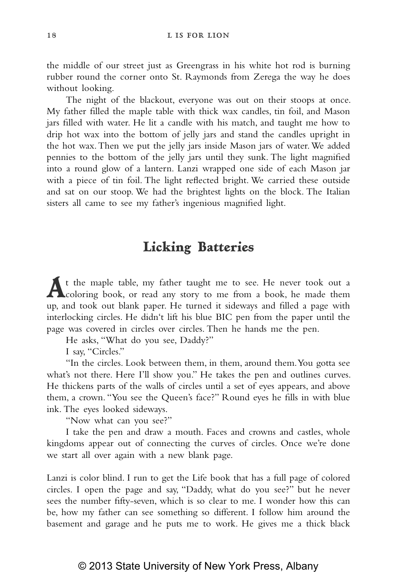the middle of our street just as Greengrass in his white hot rod is burning rubber round the corner onto St. Raymonds from Zerega the way he does without looking.

The night of the blackout, everyone was out on their stoops at once. My father filled the maple table with thick wax candles, tin foil, and Mason jars filled with water. He lit a candle with his match, and taught me how to drip hot wax into the bottom of jelly jars and stand the candles upright in the hot wax. Then we put the jelly jars inside Mason jars of water. We added pennies to the bottom of the jelly jars until they sunk. The light magnified into a round glow of a lantern. Lanzi wrapped one side of each Mason jar with a piece of tin foil. The light reflected bright. We carried these outside and sat on our stoop. We had the brightest lights on the block. The Italian sisters all came to see my father's ingenious magnified light.

### Licking Batteries

At the maple table, my father taught me to see. He never took out a coloring book, or read any story to me from a book, he made them up, and took out blank paper. He turned it sideways and filled a page with interlocking circles. He didn't lift his blue BIC pen from the paper until the page was covered in circles over circles. Then he hands me the pen.

He asks, "What do you see, Daddy?"

I say, "Circles."

"In the circles. Look between them, in them, around them. You gotta see what's not there. Here I'll show you." He takes the pen and outlines curves. He thickens parts of the walls of circles until a set of eyes appears, and above them, a crown. "You see the Queen's face?" Round eyes he fills in with blue ink. The eyes looked sideways.

"Now what can you see?"

I take the pen and draw a mouth. Faces and crowns and castles, whole kingdoms appear out of connecting the curves of circles. Once we're done we start all over again with a new blank page.

Lanzi is color blind. I run to get the Life book that has a full page of colored circles. I open the page and say, "Daddy, what do you see?" but he never sees the number fifty-seven, which is so clear to me. I wonder how this can be, how my father can see something so different. I follow him around the basement and garage and he puts me to work. He gives me a thick black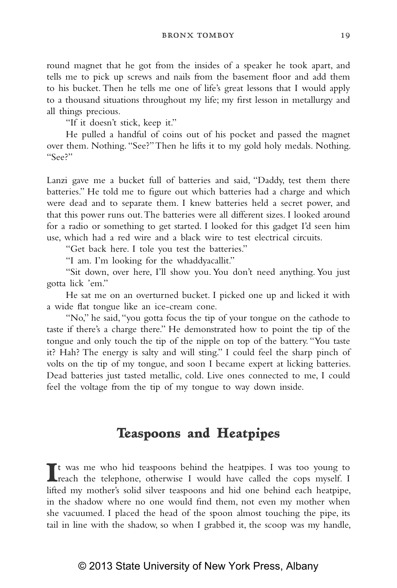round magnet that he got from the insides of a speaker he took apart, and tells me to pick up screws and nails from the basement floor and add them to his bucket. Then he tells me one of life's great lessons that I would apply to a thousand situations throughout my life; my first lesson in metallurgy and all things precious.

"If it doesn't stick, keep it."

He pulled a handful of coins out of his pocket and passed the magnet over them. Nothing. "See?" Then he lifts it to my gold holy medals. Nothing. "See?"

Lanzi gave me a bucket full of batteries and said, "Daddy, test them there batteries." He told me to figure out which batteries had a charge and which were dead and to separate them. I knew batteries held a secret power, and that this power runs out. The batteries were all different sizes. I looked around for a radio or something to get started. I looked for this gadget I'd seen him use, which had a red wire and a black wire to test electrical circuits.

"Get back here. I tole you test the batteries."

"I am. I'm looking for the whaddyacallit."

"Sit down, over here, I'll show you. You don't need anything. You just gotta lick 'em."

He sat me on an overturned bucket. I picked one up and licked it with a wide flat tongue like an ice-cream cone.

"No," he said, "you gotta focus the tip of your tongue on the cathode to taste if there's a charge there." He demonstrated how to point the tip of the tongue and only touch the tip of the nipple on top of the battery. "You taste it? Hah? The energy is salty and will sting." I could feel the sharp pinch of volts on the tip of my tongue, and soon I became expert at licking batteries. Dead batteries just tasted metallic, cold. Live ones connected to me, I could feel the voltage from the tip of my tongue to way down inside.

### Teaspoons and Heatpipes

It was me who hid teaspoons behind the heatpipes. I was too young to reach the telephone, otherwise I would have called the cops myself. I lifted my mother's solid silver teaspoons and hid one behind each heatpipe, in the shadow where no one would find them, not even my mother when she vacuumed. I placed the head of the spoon almost touching the pipe, its tail in line with the shadow, so when I grabbed it, the scoop was my handle,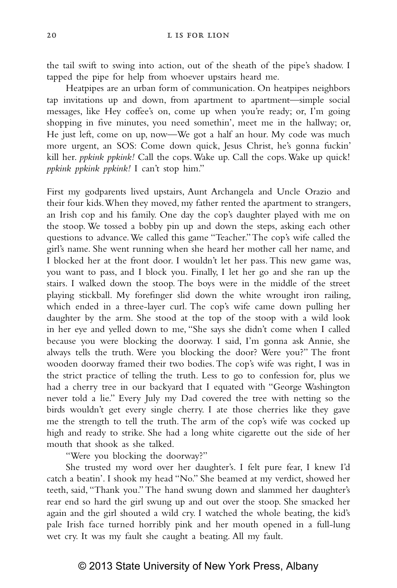the tail swift to swing into action, out of the sheath of the pipe's shadow. I tapped the pipe for help from whoever upstairs heard me.

Heatpipes are an urban form of communication. On heatpipes neighbors tap invitations up and down, from apartment to apartment—simple social messages, like Hey coffee's on, come up when you're ready; or, I'm going shopping in five minutes, you need somethin', meet me in the hallway; or, He just left, come on up, now—We got a half an hour. My code was much more urgent, an SOS: Come down quick, Jesus Christ, he's gonna fuckin' kill her. *ppkink ppkink!* Call the cops. Wake up. Call the cops. Wake up quick! *ppkink ppkink ppkink!* I can't stop him."

First my godparents lived upstairs, Aunt Archangela and Uncle Orazio and their four kids. When they moved, my father rented the apartment to strangers, an Irish cop and his family. One day the cop's daughter played with me on the stoop. We tossed a bobby pin up and down the steps, asking each other questions to advance. We called this game "Teacher." The cop's wife called the girl's name. She went running when she heard her mother call her name, and I blocked her at the front door. I wouldn't let her pass. This new game was, you want to pass, and I block you. Finally, I let her go and she ran up the stairs. I walked down the stoop. The boys were in the middle of the street playing stickball. My forefinger slid down the white wrought iron railing, which ended in a three-layer curl. The cop's wife came down pulling her daughter by the arm. She stood at the top of the stoop with a wild look in her eye and yelled down to me, "She says she didn't come when I called because you were blocking the doorway. I said, I'm gonna ask Annie, she always tells the truth. Were you blocking the door? Were you?" The front wooden doorway framed their two bodies. The cop's wife was right, I was in the strict practice of telling the truth. Less to go to confession for, plus we had a cherry tree in our backyard that I equated with "George Washington never told a lie." Every July my Dad covered the tree with netting so the birds wouldn't get every single cherry. I ate those cherries like they gave me the strength to tell the truth. The arm of the cop's wife was cocked up high and ready to strike. She had a long white cigarette out the side of her mouth that shook as she talked.

"Were you blocking the doorway?"

She trusted my word over her daughter's. I felt pure fear, I knew I'd catch a beatin'. I shook my head "No." She beamed at my verdict, showed her teeth, said, "Thank you." The hand swung down and slammed her daughter's rear end so hard the girl swung up and out over the stoop. She smacked her again and the girl shouted a wild cry. I watched the whole beating, the kid's pale Irish face turned horribly pink and her mouth opened in a full-lung wet cry. It was my fault she caught a beating. All my fault.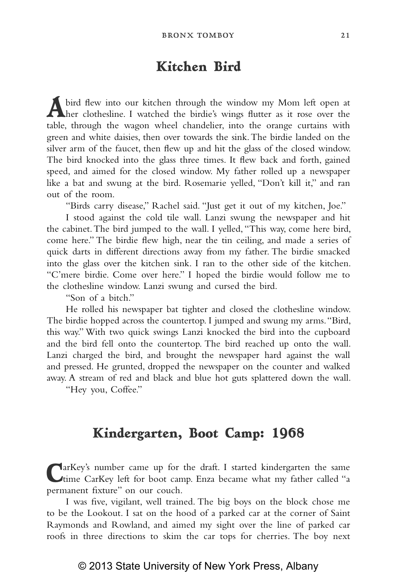## Kitchen Bird

Abird flew into our kitchen through the window my Mom left open at her clothesline. I watched the birdie's wings flutter as it rose over the table, through the wagon wheel chandelier, into the orange curtains with green and white daisies, then over towards the sink. The birdie landed on the silver arm of the faucet, then flew up and hit the glass of the closed window. The bird knocked into the glass three times. It flew back and forth, gained speed, and aimed for the closed window. My father rolled up a newspaper like a bat and swung at the bird. Rosemarie yelled, "Don't kill it," and ran out of the room.

"Birds carry disease," Rachel said. "Just get it out of my kitchen, Joe."

I stood against the cold tile wall. Lanzi swung the newspaper and hit the cabinet. The bird jumped to the wall. I yelled, "This way, come here bird, come here." The birdie flew high, near the tin ceiling, and made a series of quick darts in different directions away from my father. The birdie smacked into the glass over the kitchen sink. I ran to the other side of the kitchen. "C'mere birdie. Come over here." I hoped the birdie would follow me to the clothesline window. Lanzi swung and cursed the bird.

"Son of a bitch."

He rolled his newspaper bat tighter and closed the clothesline window. The birdie hopped across the countertop. I jumped and swung my arms. "Bird, this way." With two quick swings Lanzi knocked the bird into the cupboard and the bird fell onto the countertop. The bird reached up onto the wall. Lanzi charged the bird, and brought the newspaper hard against the wall and pressed. He grunted, dropped the newspaper on the counter and walked away. A stream of red and black and blue hot guts splattered down the wall.

"Hey you, Coffee."

### Kindergarten, Boot Camp: 1968

CarKey's number came up for the draft. I started kindergarten the same time CarKey left for boot camp. Enza became what my father called "a permanent fixture" on our couch.

I was five, vigilant, well trained. The big boys on the block chose me to be the Lookout. I sat on the hood of a parked car at the corner of Saint Raymonds and Rowland, and aimed my sight over the line of parked car roofs in three directions to skim the car tops for cherries. The boy next